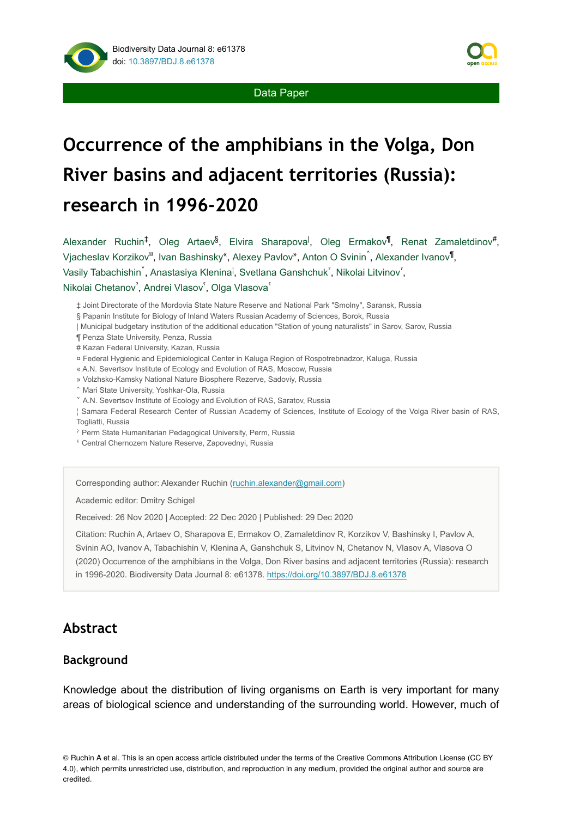

Data Paper

# **Occurrence of the amphibians in the Volga, Don River basins and adjacent territories (Russia): research in 1996-2020**

Alexander Ruchin<sup>‡</sup>, Oleg Artaev<sup>§</sup>, Elvira Sharapova<sup>l</sup>, Oleg Ermakov<sup>¶</sup>, Renat Zamaletdinov<sup>#</sup>, Vjacheslav Korzikov<sup>¤</sup>, Ivan Bashinsky<sup>«</sup>, Alexey Pavlov», Anton O Svinin î, Alexander Ivanov<sup>¶</sup>, Vasily Tabachishin , Anastasiya Klenina<sup>l</sup>, Svetlana Ganshchuk<sup>?</sup>, Nikolai Litvinov<sup>?</sup>,

#### Nikolai Chetanov<sup>2</sup>, Andrei Vlasov<sup>5</sup>, Olga Vlasova<sup>5</sup>

- ‡ Joint Directorate of the Mordovia State Nature Reserve and National Park "Smolny", Saransk, Russia
- § Papanin Institute for Biology of Inland Waters Russian Academy of Sciences, Borok, Russia
- | Municipal budgetary institution of the additional education "Station of young naturalists" in Sarov, Sarov, Russia
- ¶ Penza State University, Penza, Russia
- # Kazan Federal University, Kazan, Russia
- ¤ Federal Hygienic and Epidemiological Center in Kaluga Region of Rospotrebnadzor, Kaluga, Russia
- « A.N. Severtsov Institute of Ecology and Evolution of RAS, Moscow, Russia
- » Volzhsko-Kamsky National Nature Biosphere Rezerve, Sadoviy, Russia
- ˄ Mari State University, Yoshkar-Ola, Russia
- ˅ A.N. Severtsov Institute of Ecology and Evolution of RAS, Saratov, Russia
- ¦ Samara Federal Research Center of Russian Academy of Sciences, Institute of Ecology of the Volga River basin of RAS, Togliatti, Russia
- ˀ Perm State Humanitarian Pedagogical University, Perm, Russia
- ˁ Central Chernozem Nature Reserve, Zapovednyi, Russia

Corresponding author: Alexander Ruchin ([ruchin.alexander@gmail.com](mailto:ruchin.alexander@gmail.com))

Academic editor: Dmitry Schigel

Received: 26 Nov 2020 | Accepted: 22 Dec 2020 | Published: 29 Dec 2020

Citation: Ruchin A, Artaev O, Sharapova E, Ermakov O, Zamaletdinov R, Korzikov V, Bashinsky I, Pavlov A, Svinin AO, Ivanov A, Tabachishin V, Klenina A, Ganshchuk S, Litvinov N, Chetanov N, Vlasov A, Vlasova O (2020) Occurrence of the amphibians in the Volga, Don River basins and adjacent territories (Russia): research in 1996-2020. Biodiversity Data Journal 8: e61378. <https://doi.org/10.3897/BDJ.8.e61378>

## **Abstract**

#### **Background**

Knowledge about the distribution of living organisms on Earth is very important for many areas of biological science and understanding of the surrounding world. However, much of

© Ruchin A et al. This is an open access article distributed under the terms of the Creative Commons Attribution License (CC BY 4.0), which permits unrestricted use, distribution, and reproduction in any medium, provided the original author and source are credited.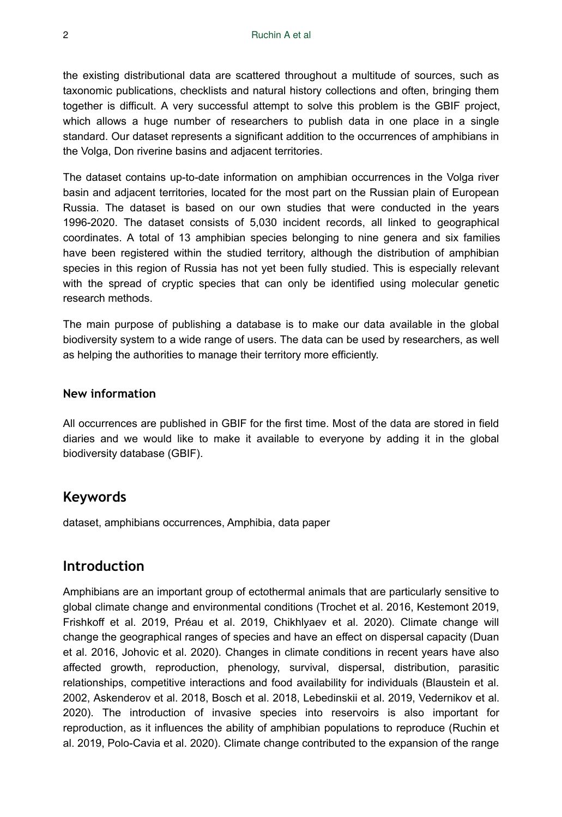the existing distributional data are scattered throughout a multitude of sources, such as taxonomic publications, checklists and natural history collections and often, bringing them together is difficult. A very successful attempt to solve this problem is the GBIF project, which allows a huge number of researchers to publish data in one place in a single standard. Our dataset represents a significant addition to the occurrences of amphibians in the Volga, Don riverine basins and adjacent territories.

The dataset contains up-to-date information on amphibian occurrences in the Volga river basin and adjacent territories, located for the most part on the Russian plain of European Russia. The dataset is based on our own studies that were conducted in the years 1996-2020. The dataset consists of 5,030 incident records, all linked to geographical coordinates. A total of 13 amphibian species belonging to nine genera and six families have been registered within the studied territory, although the distribution of amphibian species in this region of Russia has not yet been fully studied. This is especially relevant with the spread of cryptic species that can only be identified using molecular genetic research methods.

The main purpose of publishing a database is to make our data available in the global biodiversity system to a wide range of users. The data can be used by researchers, as well as helping the authorities to manage their territory more efficiently.

#### **New information**

All occurrences are published in GBIF for the first time. Most of the data are stored in field diaries and we would like to make it available to everyone by adding it in the global biodiversity database (GBIF).

## **Keywords**

dataset, amphibians occurrences, Amphibia, data paper

#### **Introduction**

Amphibians are an important group of ectothermal animals that are particularly sensitive to global climate change and environmental conditions (Trochet et al. 2016, Kestemont 2019, Frishkoff et al. 2019, Préau et al. 2019, Chikhlyaev et al. 2020). Climate change will change the geographical ranges of species and have an effect on dispersal capacity (Duan et al. 2016, Johovic et al. 2020). Changes in climate conditions in recent years have also affected growth, reproduction, phenology, survival, dispersal, distribution, parasitic relationships, competitive interactions and food availability for individuals (Blaustein et al. 2002, Askenderov et al. 2018, Bosch et al. 2018, Lebedinskii et al. 2019, Vedernikov et al. 2020). The introduction of invasive species into reservoirs is also important for reproduction, as it influences the ability of amphibian populations to reproduce (Ruchin et al. 2019, Polo-Cavia et al. 2020). Climate change contributed to the expansion of the range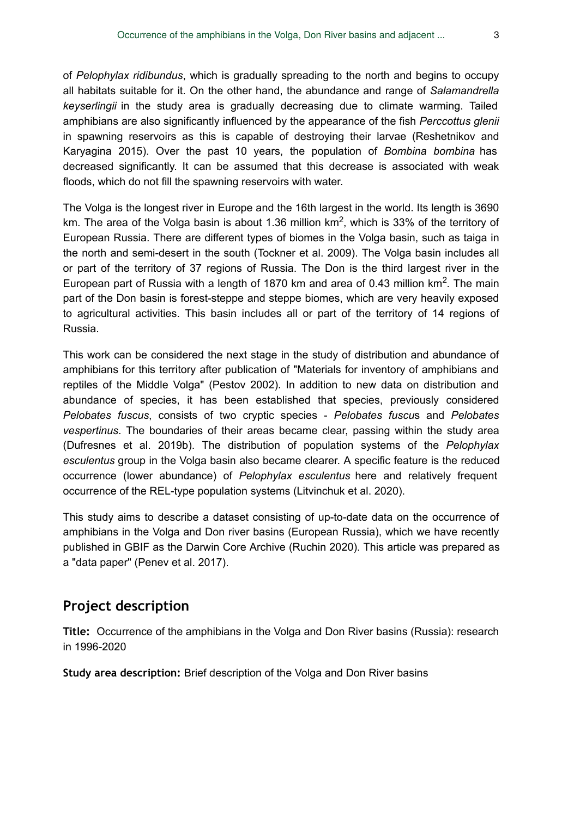of *Pelophylax ridibundus*, which is gradually spreading to the north and begins to occupy all habitats suitable for it. On the other hand, the abundance and range of *Salamandrella keyserlingii* in the study area is gradually decreasing due to climate warming. Tailed amphibians are also significantly influenced by the appearance of the fish *Perccottus glenii* in spawning reservoirs as this is capable of destroying their larvae (Reshetnikov and Karyagina 2015). Over the past 10 years, the population of *Bombina bombina* has decreased significantly. It can be assumed that this decrease is associated with weak floods, which do not fill the spawning reservoirs with water.

The Volga is the longest river in Europe and the 16th largest in the world. Its length is 3690 km. The area of the Volga basin is about 1.36 million km<sup>2</sup>, which is 33% of the territory of European Russia. There are different types of biomes in the Volga basin, such as taiga in the north and semi-desert in the south (Tockner et al. 2009). The Volga basin includes all or part of the territory of 37 regions of Russia. The Don is the third largest river in the European part of Russia with a length of 1870 km and area of 0.43 million  $km<sup>2</sup>$ . The main part of the Don basin is forest-steppe and steppe biomes, which are very heavily exposed to agricultural activities. This basin includes all or part of the territory of 14 regions of Russia.

This work can be considered the next stage in the study of distribution and abundance of amphibians for this territory after publication of "Materials for inventory of amphibians and reptiles of the Middle Volga" (Pestov 2002). In addition to new data on distribution and abundance of species, it has been established that species, previously considered *Pelobates fuscus*, consists of two cryptic species - *Pelobates fuscu*s and *Pelobates vespertinus*. The boundaries of their areas became clear, passing within the study area (Dufresnes et al. 2019b). The distribution of population systems of the *Pelophylax esculentus* group in the Volga basin also became clearer. A specific feature is the reduced occurrence (lower abundance) of *Pelophylax esculentus* here and relatively frequent occurrence of the REL-type population systems (Litvinchuk et al. 2020).

This study aims to describe a dataset consisting of up-to-date data on the occurrence of amphibians in the Volga and Don river basins (European Russia), which we have recently published in GBIF as the Darwin Core Archive (Ruchin 2020). This article was prepared as a "data paper" (Penev et al. 2017).

## **Project description**

**Title:** Occurrence of the amphibians in the Volga and Don River basins (Russia): research in 1996-2020

**Study area description:** Brief description of the Volga and Don River basins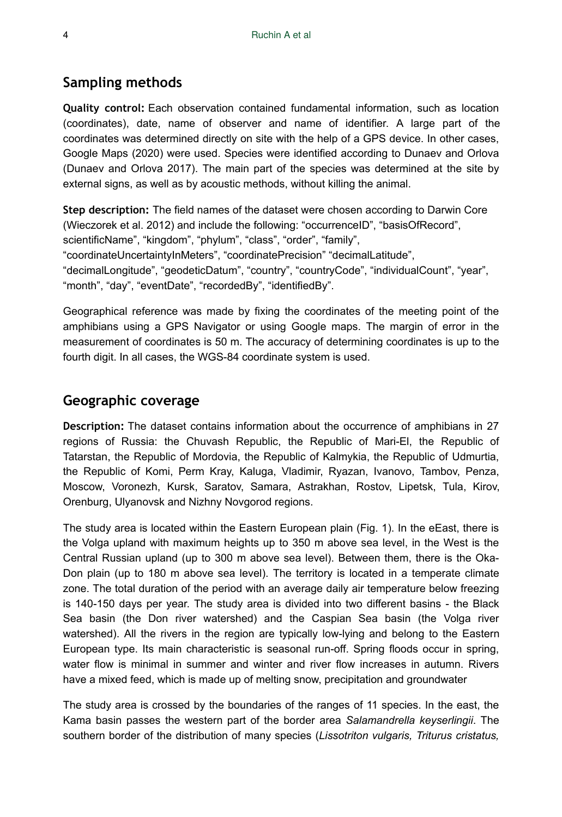## **Sampling methods**

**Quality control:** Each observation contained fundamental information, such as location (coordinates), date, name of observer and name of identifier. A large part of the coordinates was determined directly on site with the help of a GPS device. In other cases, Google Maps (2020) were used. Species were identified according to Dunaev and Orlova (Dunaev and Orlova 2017). The main part of the species was determined at the site by external signs, as well as by acoustic methods, without killing the animal.

**Step description:** The field names of the dataset were chosen according to Darwin Core (Wieczorek et al. 2012) and include the following: "occurrenceID", "basisOfRecord", scientificName", "kingdom", "phylum", "class", "order", "family", "coordinateUncertaintyInMeters", "coordinatePrecision" "decimalLatitude", "decimalLongitude", "geodeticDatum", "country", "countryCode", "individualCount", "year", "month", "day", "eventDate", "recordedBy", "identifiedBy".

Geographical reference was made by fixing the coordinates of the meeting point of the amphibians using a GPS Navigator or using Google maps. The margin of error in the measurement of coordinates is 50 m. The accuracy of determining coordinates is up to the fourth digit. In all cases, the WGS-84 coordinate system is used.

#### **Geographic coverage**

**Description:** The dataset contains information about the occurrence of amphibians in 27 regions of Russia: the Chuvash Republic, the Republic of Mari-El, the Republic of Tatarstan, the Republic of Mordovia, the Republic of Kalmykia, the Republic of Udmurtia, the Republic of Komi, Perm Kray, Kaluga, Vladimir, Ryazan, Ivanovo, Tambov, Penza, Moscow, Voronezh, Kursk, Saratov, Samara, Astrakhan, Rostov, Lipetsk, Tula, Kirov, Orenburg, Ulyanovsk and Nizhny Novgorod regions.

The study area is located within the Eastern European plain (Fig. 1). In the eEast, there is the Volga upland with maximum heights up to 350 m above sea level, in the West is the Central Russian upland (up to 300 m above sea level). Between them, there is the Oka-Don plain (up to 180 m above sea level). The territory is located in a temperate climate zone. The total duration of the period with an average daily air temperature below freezing is 140-150 days per year. The study area is divided into two different basins - the Black Sea basin (the Don river watershed) and the Caspian Sea basin (the Volga river watershed). All the rivers in the region are typically low-lying and belong to the Eastern European type. Its main characteristic is seasonal run-off. Spring floods occur in spring, water flow is minimal in summer and winter and river flow increases in autumn. Rivers have a mixed feed, which is made up of melting snow, precipitation and groundwater

The study area is crossed by the boundaries of the ranges of 11 species. In the east, the Kama basin passes the western part of the border area *Salamandrella keyserlingii*. The southern border of the distribution of many species (*Lissotriton vulgaris, Triturus cristatus,*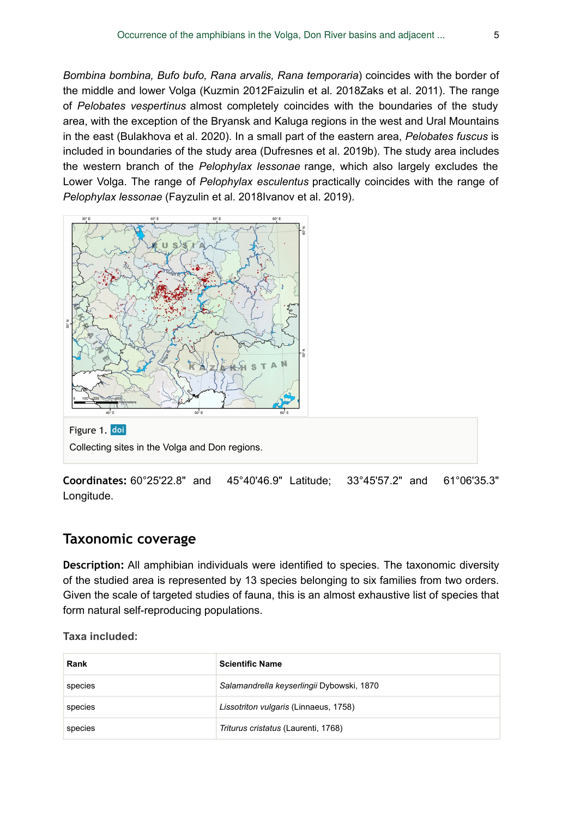*Bombina bombina, Bufo bufo, Rana arvalis, Rana temporaria*) coincides with the border of the middle and lower Volga (Kuzmin 2012Faizulin et al. 2018Zaks et al. 2011). The range of *Pelobates vespertinus* almost completely coincides with the boundaries of the study area, with the exception of the Bryansk and Kaluga regions in the west and Ural Mountains in the east (Bulakhova et al. 2020). In a small part of the eastern area, *Pelobates fuscus* is included in boundaries of the study area (Dufresnes et al. 2019b). The study area includes the western branch of the *Pelophylax lessonae* range, which also largely excludes the Lower Volga. The range of *Pelophylax esculentus* practically coincides with the range of *Pelophylax lessonae* (Fayzulin et al. 2018Ivanov et al. 2019).



**Coordinates:** 60°25'22.8" and 45°40'46.9" Latitude; 33°45'57.2" and 61°06'35.3" Longitude.

#### **Taxonomic coverage**

**Description:** All amphibian individuals were identified to species. The taxonomic diversity of the studied area is represented by 13 species belonging to six families from two orders. Given the scale of targeted studies of fauna, this is an almost exhaustive list of species that form natural self-reproducing populations.

**Taxa included:**

| Rank    | <b>Scientific Name</b>                    |
|---------|-------------------------------------------|
| species | Salamandrella keyserlingii Dybowski, 1870 |
| species | Lissotriton vulgaris (Linnaeus, 1758)     |
| species | Triturus cristatus (Laurenti, 1768)       |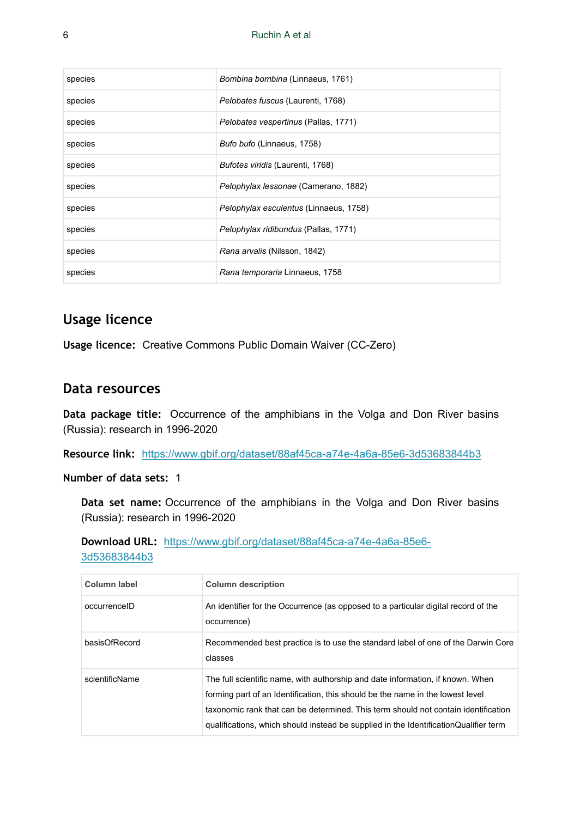| species | Bombina bombina (Linnaeus, 1761)       |
|---------|----------------------------------------|
| species | Pelobates fuscus (Laurenti, 1768)      |
| species | Pelobates vespertinus (Pallas, 1771)   |
| species | Bufo bufo (Linnaeus, 1758)             |
| species | Bufotes viridis (Laurenti, 1768)       |
| species | Pelophylax lessonae (Camerano, 1882)   |
| species | Pelophylax esculentus (Linnaeus, 1758) |
| species | Pelophylax ridibundus (Pallas, 1771)   |
| species | Rana arvalis (Nilsson, 1842)           |
| species | Rana temporaria Linnaeus, 1758         |

## **Usage licence**

**Usage licence:** Creative Commons Public Domain Waiver (CC-Zero)

#### **Data resources**

**Data package title:** Occurrence of the amphibians in the Volga and Don River basins (Russia): research in 1996-2020

**Resource link:** <https://www.gbif.org/dataset/88af45ca-a74e-4a6a-85e6-3d53683844b3>

**Number of data sets:** 1

**Data set name:** Occurrence of the amphibians in the Volga and Don River basins (Russia): research in 1996-2020

**Download URL:** [https://www.gbif.org/dataset/88af45ca-a74e-4a6a-85e6-](https://www.gbif.org/dataset/88af45ca-a74e-4a6a-85e6-3d53683844b3) [3d53683844b3](https://www.gbif.org/dataset/88af45ca-a74e-4a6a-85e6-3d53683844b3)

| Column label   | <b>Column description</b>                                                                                                                                                                                                                                                                                                                      |
|----------------|------------------------------------------------------------------------------------------------------------------------------------------------------------------------------------------------------------------------------------------------------------------------------------------------------------------------------------------------|
| occurrenceID   | An identifier for the Occurrence (as opposed to a particular digital record of the<br>occurrence)                                                                                                                                                                                                                                              |
| basisOfRecord  | Recommended best practice is to use the standard label of one of the Darwin Core<br>classes                                                                                                                                                                                                                                                    |
| scientificName | The full scientific name, with authorship and date information, if known. When<br>forming part of an Identification, this should be the name in the lowest level<br>taxonomic rank that can be determined. This term should not contain identification<br>qualifications, which should instead be supplied in the IdentificationQualifier term |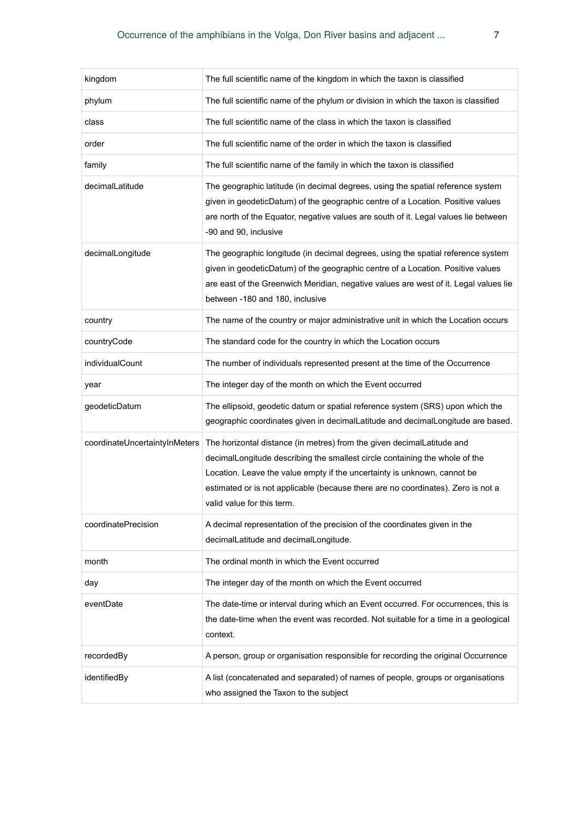| kingdom                       | The full scientific name of the kingdom in which the taxon is classified                                                                                                                                                                                                                                                                            |
|-------------------------------|-----------------------------------------------------------------------------------------------------------------------------------------------------------------------------------------------------------------------------------------------------------------------------------------------------------------------------------------------------|
| phylum                        | The full scientific name of the phylum or division in which the taxon is classified                                                                                                                                                                                                                                                                 |
| class                         | The full scientific name of the class in which the taxon is classified                                                                                                                                                                                                                                                                              |
| order                         | The full scientific name of the order in which the taxon is classified                                                                                                                                                                                                                                                                              |
| family                        | The full scientific name of the family in which the taxon is classified                                                                                                                                                                                                                                                                             |
| decimalLatitude               | The geographic latitude (in decimal degrees, using the spatial reference system<br>given in geodeticDatum) of the geographic centre of a Location. Positive values<br>are north of the Equator, negative values are south of it. Legal values lie between<br>-90 and 90, inclusive                                                                  |
| decimalLongitude              | The geographic longitude (in decimal degrees, using the spatial reference system<br>given in geodeticDatum) of the geographic centre of a Location. Positive values<br>are east of the Greenwich Meridian, negative values are west of it. Legal values lie<br>between -180 and 180, inclusive                                                      |
| country                       | The name of the country or major administrative unit in which the Location occurs                                                                                                                                                                                                                                                                   |
| countryCode                   | The standard code for the country in which the Location occurs                                                                                                                                                                                                                                                                                      |
| individualCount               | The number of individuals represented present at the time of the Occurrence                                                                                                                                                                                                                                                                         |
| year                          | The integer day of the month on which the Event occurred                                                                                                                                                                                                                                                                                            |
| geodeticDatum                 | The ellipsoid, geodetic datum or spatial reference system (SRS) upon which the<br>geographic coordinates given in decimalLatitude and decimalLongitude are based.                                                                                                                                                                                   |
| coordinateUncertaintyInMeters | The horizontal distance (in metres) from the given decimalLatitude and<br>decimalLongitude describing the smallest circle containing the whole of the<br>Location. Leave the value empty if the uncertainty is unknown, cannot be<br>estimated or is not applicable (because there are no coordinates). Zero is not a<br>valid value for this term. |
| coordinatePrecision           | A decimal representation of the precision of the coordinates given in the<br>decimalLatitude and decimalLongitude.                                                                                                                                                                                                                                  |
| month                         | The ordinal month in which the Event occurred                                                                                                                                                                                                                                                                                                       |
| day                           | The integer day of the month on which the Event occurred                                                                                                                                                                                                                                                                                            |
| eventDate                     | The date-time or interval during which an Event occurred. For occurrences, this is<br>the date-time when the event was recorded. Not suitable for a time in a geological<br>context.                                                                                                                                                                |
| recordedBy                    | A person, group or organisation responsible for recording the original Occurrence                                                                                                                                                                                                                                                                   |
| identifiedBy                  | A list (concatenated and separated) of names of people, groups or organisations<br>who assigned the Taxon to the subject                                                                                                                                                                                                                            |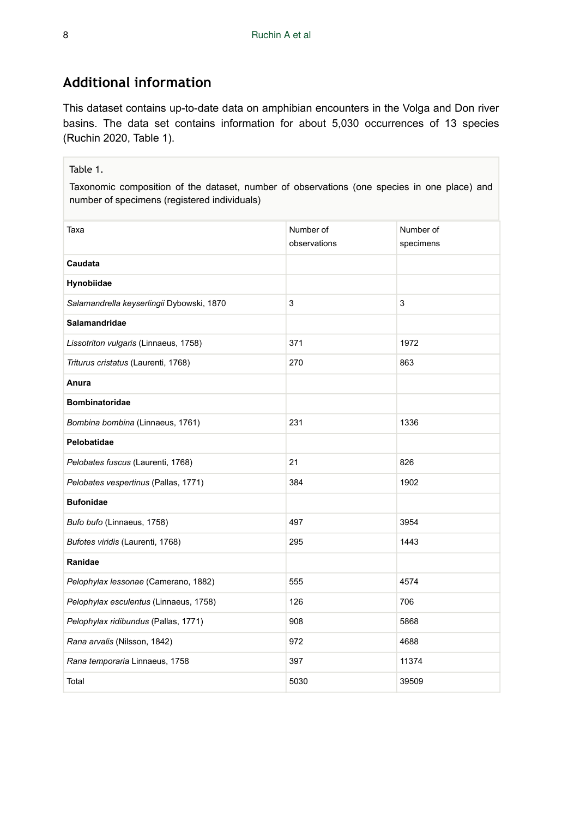# **Additional information**

This dataset contains up-to-date data on amphibian encounters in the Volga and Don river basins. The data set contains information for about 5,030 occurrences of 13 species (Ruchin 2020, Table 1).

#### Table 1.

Taxonomic composition of the dataset, number of observations (one species in one place) and number of specimens (registered individuals)

| Taxa                                      | Number of    | Number of |
|-------------------------------------------|--------------|-----------|
|                                           | observations | specimens |
| Caudata                                   |              |           |
| Hynobiidae                                |              |           |
| Salamandrella keyserlingii Dybowski, 1870 | 3            | 3         |
| <b>Salamandridae</b>                      |              |           |
| Lissotriton vulgaris (Linnaeus, 1758)     | 371          | 1972      |
| Triturus cristatus (Laurenti, 1768)       | 270          | 863       |
| Anura                                     |              |           |
| <b>Bombinatoridae</b>                     |              |           |
| Bombina bombina (Linnaeus, 1761)          | 231          | 1336      |
| Pelobatidae                               |              |           |
| Pelobates fuscus (Laurenti, 1768)         | 21           | 826       |
| Pelobates vespertinus (Pallas, 1771)      | 384          | 1902      |
| <b>Bufonidae</b>                          |              |           |
| Bufo bufo (Linnaeus, 1758)                | 497          | 3954      |
| Bufotes viridis (Laurenti, 1768)          | 295          | 1443      |
| Ranidae                                   |              |           |
| Pelophylax lessonae (Camerano, 1882)      | 555          | 4574      |
| Pelophylax esculentus (Linnaeus, 1758)    | 126          | 706       |
| Pelophylax ridibundus (Pallas, 1771)      | 908          | 5868      |
| Rana arvalis (Nilsson, 1842)              | 972          | 4688      |
| Rana temporaria Linnaeus, 1758            | 397          | 11374     |
| Total                                     | 5030         | 39509     |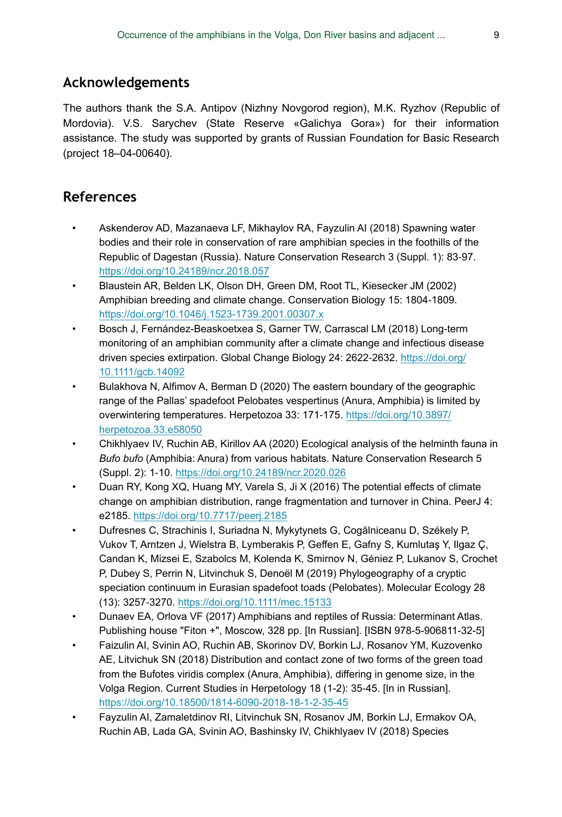# **Acknowledgements**

The authors thank the S.A. Antipov (Nizhny Novgorod region), M.K. Ryzhov (Republic of Mordovia). V.S. Sarychev (State Reserve «Galichya Gora») for their information assistance. The study was supported by grants of Russian Foundation for Basic Research (project 18–04-00640).

# **References**

- Askenderov AD, Mazanaeva LF, Mikhaylov RA, Fayzulin AI (2018) Spawning water bodies and their role in conservation of rare amphibian species in the foothills of the Republic of Dagestan (Russia). Nature Conservation Research 3 (Suppl. 1): 83‑97. <https://doi.org/10.24189/ncr.2018.057>
- Blaustein AR, Belden LK, Olson DH, Green DM, Root TL, Kiesecker JM (2002) Amphibian breeding and climate change. Conservation Biology 15: 1804‑1809. <https://doi.org/10.1046/j.1523-1739.2001.00307.x>
- Bosch J, Fernández-Beaskoetxea S, Garner TW, Carrascal LM (2018) Long-term monitoring of an amphibian community after a climate change and infectious disease driven species extirpation. Global Change Biology 24: 2622-2632. [https://doi.org/](https://doi.org/10.1111/gcb.14092) [10.1111/gcb.14092](https://doi.org/10.1111/gcb.14092)
- Bulakhova N, Alfimov A, Berman D (2020) The eastern boundary of the geographic range of the Pallas' spadefoot Pelobates vespertinus (Anura, Amphibia) is limited by overwintering temperatures. Herpetozoa 33: 171-175. [https://doi.org/10.3897/](https://doi.org/10.3897/herpetozoa.33.e58050) [herpetozoa.33.e58050](https://doi.org/10.3897/herpetozoa.33.e58050)
- Chikhlyaev IV, Ruchin AB, Kirillov AA (2020) Ecological analysis of the helminth fauna in *Bufo bufo* (Amphibia: Anura) from various habitats. Nature Conservation Research 5 (Suppl. 2): 1‑10.<https://doi.org/10.24189/ncr.2020.026>
- Duan RY, Kong XQ, Huang MY, Varela S, Ji X (2016) The potential effects of climate change on amphibian distribution, range fragmentation and turnover in China. PeerJ 4: e2185. <https://doi.org/10.7717/peerj.2185>
- Dufresnes C, Strachinis I, Suriadna N, Mykytynets G, Cogălniceanu D, Székely P, Vukov T, Arntzen J, Wielstra B, Lymberakis P, Geffen E, Gafny S, Kumlutaş Y, Ilgaz Ç, Candan K, Mizsei E, Szabolcs M, Kolenda K, Smirnov N, Géniez P, Lukanov S, Crochet P, Dubey S, Perrin N, Litvinchuk S, Denoël M (2019) Phylogeography of a cryptic speciation continuum in Eurasian spadefoot toads (Pelobates). Molecular Ecology 28 (13): 3257‑3270. <https://doi.org/10.1111/mec.15133>
- Dunaev EA, Orlova VF (2017) Amphibians and reptiles of Russia: Determinant Atlas. Publishing house "Fiton +", Moscow, 328 pp. [In Russian]. [ISBN 978-5-906811-32-5]
- Faizulin AI, Svinin AO, Ruchin AB, Skorinov DV, Borkin LJ, Rosanov YM, Kuzovenko AE, Litvichuk SN (2018) Distribution and contact zone of two forms of the green toad from the Bufotes viridis complex (Anura, Amphibia), differing in genome size, in the Volga Region. Current Studies in Herpetology 18 (1-2): 35‑45. [In in Russian]. <https://doi.org/10.18500/1814-6090-2018-18-1-2-35-45>
- Fayzulin AI, Zamaletdinov RI, Litvinchuk SN, Rosanov JM, Borkin LJ, Ermakov OA, Ruchin AB, Lada GA, Svinin AO, Bashinsky IV, Chikhlyaev IV (2018) Species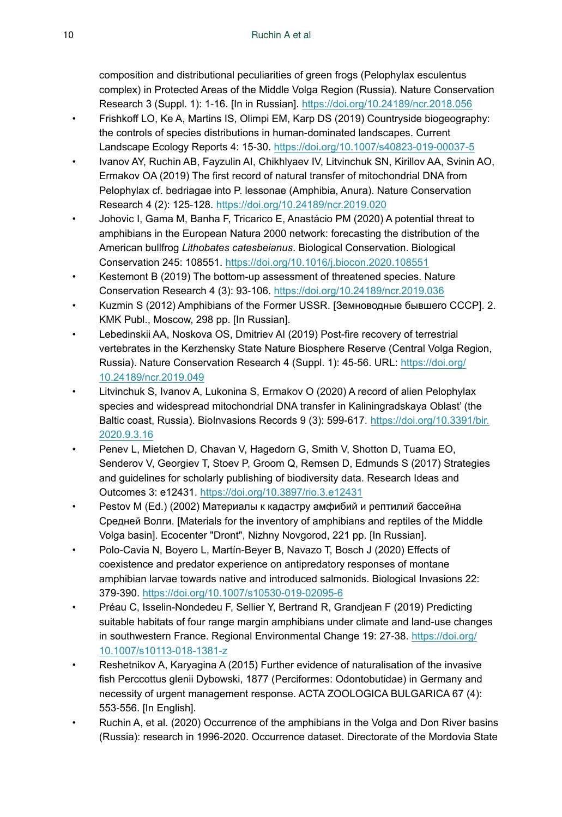composition and distributional peculiarities of green frogs (Pelophylax esculentus complex) in Protected Areas of the Middle Volga Region (Russia). Nature Conservation Research 3 (Suppl. 1): 1‑16. [In in Russian].<https://doi.org/10.24189/ncr.2018.056>

- Frishkoff LO, Ke A, Martins IS, Olimpi EM, Karp DS (2019) Countryside biogeography: the controls of species distributions in human-dominated landscapes. Current Landscape Ecology Reports 4: 15‑30. <https://doi.org/10.1007/s40823-019-00037-5>
- Ivanov AY, Ruchin AB, Fayzulin AI, Chikhlyaev IV, Litvinchuk SN, Kirillov AA, Svinin AO, Ermakov OA (2019) The first record of natural transfer of mitochondrial DNA from Pelophylax cf. bedriagae into P. lessonae (Amphibia, Anura). Nature Conservation Research 4 (2): 125‑128. <https://doi.org/10.24189/ncr.2019.020>
- Johovic I, Gama M, Banha F, Tricarico E, Anastácio PM (2020) A potential threat to amphibians in the European Natura 2000 network: forecasting the distribution of the American bullfrog *Lithobates catesbeianus*. Biological Conservation. Biological Conservation 245: 108551.<https://doi.org/10.1016/j.biocon.2020.108551>
- Kestemont B (2019) The bottom-up assessment of threatened species. Nature Conservation Research 4 (3): 93‑106. <https://doi.org/10.24189/ncr.2019.036>
- Kuzmin S (2012) Amphibians of the Former USSR. [Земноводные бывшего СССР]. 2. KMK Publ., Moscow, 298 pp. [In Russian].
- Lebedinskii AA, Noskova OS, Dmitriev AI (2019) Post-fire recovery of terrestrial vertebrates in the Kerzhensky State Nature Biosphere Reserve (Central Volga Region, Russia). Nature Conservation Research 4 (Suppl. 1): 45‑56. URL: [https://doi.org/](https://doi.org/10.24189/ncr.2019.049) [10.24189/ncr.2019.049](https://doi.org/10.24189/ncr.2019.049)
- Litvinchuk S, Ivanov A, Lukonina S, Ermakov O (2020) A record of alien Pelophylax species and widespread mitochondrial DNA transfer in Kaliningradskaya Oblast' (the Baltic coast, Russia). BioInvasions Records 9 (3): 599-617. [https://doi.org/10.3391/bir.](https://doi.org/10.3391/bir.2020.9.3.16) [2020.9.3.16](https://doi.org/10.3391/bir.2020.9.3.16)
- Penev L, Mietchen D, Chavan V, Hagedorn G, Smith V, Shotton D, Tuama EO, Senderov V, Georgiev T, Stoev P, Groom Q, Remsen D, Edmunds S (2017) Strategies and guidelines for scholarly publishing of biodiversity data. Research Ideas and Outcomes 3: e12431. <https://doi.org/10.3897/rio.3.e12431>
- Pestov M (Ed.) (2002) Материалы к кадастру амфибий и рептилий бассейна Средней Волги. [Materials for the inventory of amphibians and reptiles of the Middle Volga basin]. Ecocenter "Dront", Nizhny Novgorod, 221 pp. [In Russian].
- Polo-Cavia N, Boyero L, Martín-Beyer B, Navazo T, Bosch J (2020) Effects of coexistence and predator experience on antipredatory responses of montane amphibian larvae towards native and introduced salmonids. Biological Invasions 22: 379‑390. <https://doi.org/10.1007/s10530-019-02095-6>
- Préau C, Isselin-Nondedeu F, Sellier Y, Bertrand R, Grandjean F (2019) Predicting suitable habitats of four range margin amphibians under climate and land-use changes in southwestern France. Regional Environmental Change 19: 27‑38. [https://doi.org/](https://doi.org/10.1007/s10113-018-1381-z) [10.1007/s10113-018-1381-z](https://doi.org/10.1007/s10113-018-1381-z)
- Reshetnikov A, Karyagina A (2015) Further evidence of naturalisation of the invasive fish Perccottus glenii Dybowski, 1877 (Perciformes: Odontobutidae) in Germany and necessity of urgent management response. ACTA ZOOLOGICA BULGARICA 67 (4): 553‑556. [In English].
- Ruchin A, et al. (2020) Occurrence of the amphibians in the Volga and Don River basins (Russia): research in 1996-2020. Occurrence dataset. Directorate of the Mordovia State